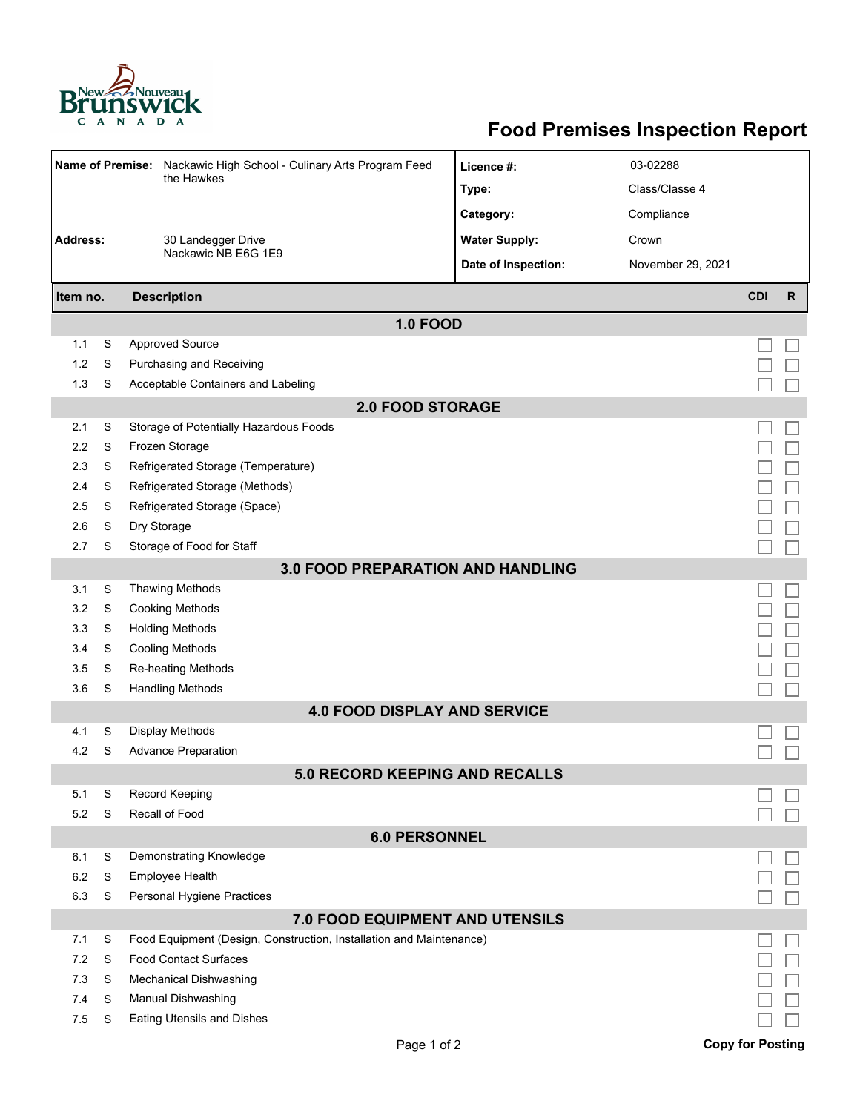

## **Food Premises Inspection Report**

|                                          |   | Name of Premise: Nackawic High School - Culinary Arts Program Feed<br>the Hawkes | Licence #:           | 03-02288          |                         |              |  |  |  |
|------------------------------------------|---|----------------------------------------------------------------------------------|----------------------|-------------------|-------------------------|--------------|--|--|--|
|                                          |   |                                                                                  | Type:                | Class/Classe 4    |                         |              |  |  |  |
|                                          |   |                                                                                  | Category:            | Compliance        |                         |              |  |  |  |
| <b>Address:</b>                          |   | 30 Landegger Drive                                                               | <b>Water Supply:</b> | Crown             |                         |              |  |  |  |
|                                          |   | Nackawic NB E6G 1E9                                                              | Date of Inspection:  | November 29, 2021 |                         |              |  |  |  |
|                                          |   |                                                                                  |                      |                   |                         |              |  |  |  |
| Item no.                                 |   | <b>Description</b>                                                               |                      |                   | <b>CDI</b>              | $\mathsf{R}$ |  |  |  |
|                                          |   | <b>1.0 FOOD</b>                                                                  |                      |                   |                         |              |  |  |  |
| 1.1                                      | S | <b>Approved Source</b>                                                           |                      |                   |                         |              |  |  |  |
| 1.2                                      | S | Purchasing and Receiving                                                         |                      |                   |                         |              |  |  |  |
| 1.3                                      | S | Acceptable Containers and Labeling                                               |                      |                   |                         |              |  |  |  |
| <b>2.0 FOOD STORAGE</b>                  |   |                                                                                  |                      |                   |                         |              |  |  |  |
| 2.1                                      | S | Storage of Potentially Hazardous Foods                                           |                      |                   |                         |              |  |  |  |
| 2.2                                      | S | Frozen Storage                                                                   |                      |                   |                         |              |  |  |  |
| 2.3                                      | S | Refrigerated Storage (Temperature)                                               |                      |                   |                         |              |  |  |  |
| 2.4                                      | S | Refrigerated Storage (Methods)                                                   |                      |                   |                         |              |  |  |  |
| 2.5                                      | S | Refrigerated Storage (Space)                                                     |                      |                   |                         |              |  |  |  |
| 2.6                                      | S | Dry Storage                                                                      |                      |                   |                         |              |  |  |  |
| 2.7                                      | S | Storage of Food for Staff                                                        |                      |                   |                         |              |  |  |  |
| <b>3.0 FOOD PREPARATION AND HANDLING</b> |   |                                                                                  |                      |                   |                         |              |  |  |  |
| 3.1                                      | S | <b>Thawing Methods</b>                                                           |                      |                   |                         |              |  |  |  |
| 3.2                                      | S | <b>Cooking Methods</b>                                                           |                      |                   |                         |              |  |  |  |
| 3.3                                      | S | <b>Holding Methods</b>                                                           |                      |                   |                         |              |  |  |  |
| 3.4                                      | S | <b>Cooling Methods</b>                                                           |                      |                   |                         |              |  |  |  |
| 3.5                                      | S | Re-heating Methods                                                               |                      |                   |                         |              |  |  |  |
| 3.6                                      | S | <b>Handling Methods</b>                                                          |                      |                   |                         |              |  |  |  |
| <b>4.0 FOOD DISPLAY AND SERVICE</b>      |   |                                                                                  |                      |                   |                         |              |  |  |  |
| 4.1                                      | S | <b>Display Methods</b>                                                           |                      |                   |                         |              |  |  |  |
| 4.2                                      | S | <b>Advance Preparation</b>                                                       |                      |                   |                         |              |  |  |  |
| <b>5.0 RECORD KEEPING AND RECALLS</b>    |   |                                                                                  |                      |                   |                         |              |  |  |  |
| 5.1                                      | S | Record Keeping                                                                   |                      |                   |                         |              |  |  |  |
| 5.2                                      | S | Recall of Food                                                                   |                      |                   |                         |              |  |  |  |
| <b>6.0 PERSONNEL</b>                     |   |                                                                                  |                      |                   |                         |              |  |  |  |
| 6.1                                      | S | Demonstrating Knowledge                                                          |                      |                   |                         |              |  |  |  |
| 6.2                                      | S | Employee Health                                                                  |                      |                   |                         |              |  |  |  |
| 6.3                                      | S | Personal Hygiene Practices                                                       |                      |                   |                         |              |  |  |  |
| 7.0 FOOD EQUIPMENT AND UTENSILS          |   |                                                                                  |                      |                   |                         |              |  |  |  |
| 7.1                                      | S | Food Equipment (Design, Construction, Installation and Maintenance)              |                      |                   |                         |              |  |  |  |
| 7.2                                      | S | <b>Food Contact Surfaces</b>                                                     |                      |                   |                         |              |  |  |  |
| 7.3                                      | S | <b>Mechanical Dishwashing</b>                                                    |                      |                   |                         |              |  |  |  |
| 7.4                                      | S | Manual Dishwashing                                                               |                      |                   |                         |              |  |  |  |
| 7.5                                      | S | <b>Eating Utensils and Dishes</b>                                                |                      |                   |                         |              |  |  |  |
|                                          |   | Page 1 of 2                                                                      |                      |                   | <b>Copy for Posting</b> |              |  |  |  |